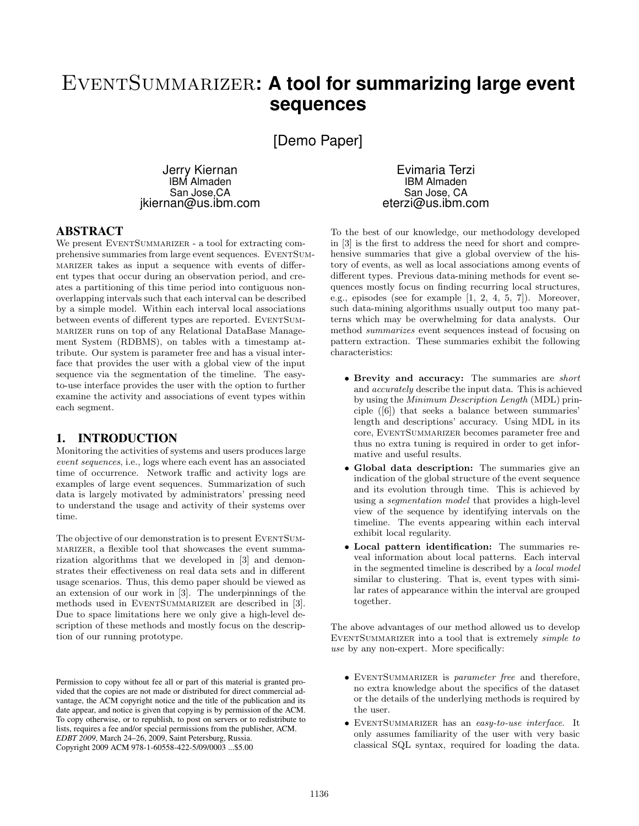# EventSummarizer**: A tool for summarizing large event sequences**

[Demo Paper]

Jerry Kiernan IBM Almaden San Jose,CA jkiernan@us.ibm.com

Evimaria Terzi IBM Almaden San Jose, CA eterzi@us.ibm.com

# ABSTRACT

We present EVENTSUMMARIZER - a tool for extracting comprehensive summaries from large event sequences. EVENTSUMmarizer takes as input a sequence with events of different types that occur during an observation period, and creates a partitioning of this time period into contiguous nonoverlapping intervals such that each interval can be described by a simple model. Within each interval local associations between events of different types are reported. EVENTSUMmarizer runs on top of any Relational DataBase Management System (RDBMS), on tables with a timestamp attribute. Our system is parameter free and has a visual interface that provides the user with a global view of the input sequence via the segmentation of the timeline. The easyto-use interface provides the user with the option to further examine the activity and associations of event types within each segment.

## 1. INTRODUCTION

Monitoring the activities of systems and users produces large event sequences, i.e., logs where each event has an associated time of occurrence. Network traffic and activity logs are examples of large event sequences. Summarization of such data is largely motivated by administrators' pressing need to understand the usage and activity of their systems over time.

The objective of our demonstration is to present EVENTSUMmarizer, a flexible tool that showcases the event summarization algorithms that we developed in [3] and demonstrates their effectiveness on real data sets and in different usage scenarios. Thus, this demo paper should be viewed as an extension of our work in [3]. The underpinnings of the methods used in EVENTSUMMARIZER are described in [3]. Due to space limitations here we only give a high-level description of these methods and mostly focus on the description of our running prototype.

Permission to copy without fee all or part of this material is granted provided that the copies are not made or distributed for direct commercial advantage, the ACM copyright notice and the title of the publication and its date appear, and notice is given that copying is by permission of the ACM. To copy otherwise, or to republish, to post on servers or to redistribute to lists, requires a fee and/or special permissions from the publisher, ACM. *EDBT 2009*, March 24–26, 2009, Saint Petersburg, Russia. Copyright 2009 ACM 978-1-60558-422-5/09/0003 ...\$5.00

To the best of our knowledge, our methodology developed in [3] is the first to address the need for short and comprehensive summaries that give a global overview of the history of events, as well as local associations among events of different types. Previous data-mining methods for event sequences mostly focus on finding recurring local structures, e.g., episodes (see for example [1, 2, 4, 5, 7]). Moreover, such data-mining algorithms usually output too many patterns which may be overwhelming for data analysts. Our method summarizes event sequences instead of focusing on pattern extraction. These summaries exhibit the following characteristics:

- Brevity and accuracy: The summaries are short and accurately describe the input data. This is achieved by using the Minimum Description Length (MDL) principle ([6]) that seeks a balance between summaries' length and descriptions' accuracy. Using MDL in its core, EventSummarizer becomes parameter free and thus no extra tuning is required in order to get informative and useful results.
- Global data description: The summaries give an indication of the global structure of the event sequence and its evolution through time. This is achieved by using a segmentation model that provides a high-level view of the sequence by identifying intervals on the timeline. The events appearing within each interval exhibit local regularity.
- Local pattern identification: The summaries reveal information about local patterns. Each interval in the segmented timeline is described by a local model similar to clustering. That is, event types with similar rates of appearance within the interval are grouped together.

The above advantages of our method allowed us to develop EVENTSUMMARIZER into a tool that is extremely *simple to* use by any non-expert. More specifically:

- EVENTSUMMARIZER is *parameter free* and therefore, no extra knowledge about the specifics of the dataset or the details of the underlying methods is required by the user.
- EventSummarizer has an easy-to-use interface. It only assumes familiarity of the user with very basic classical SQL syntax, required for loading the data.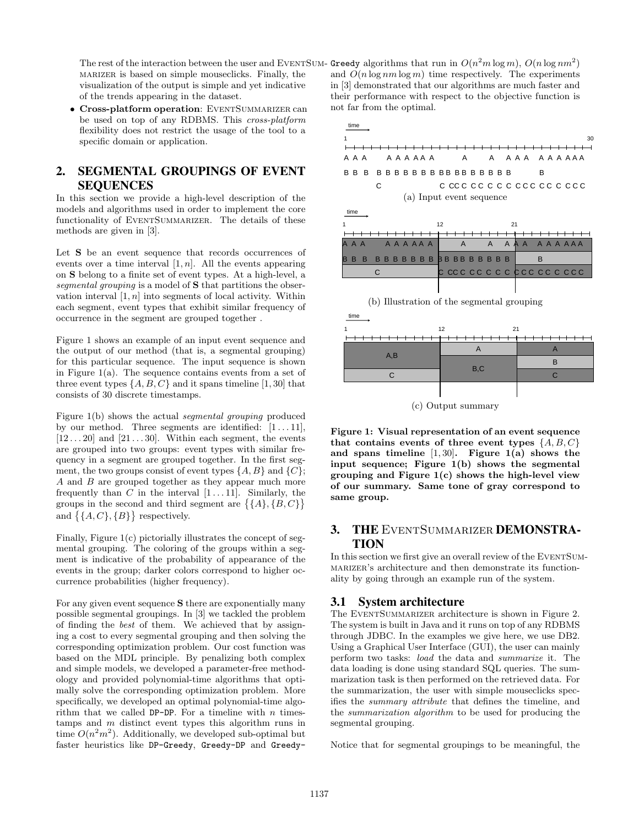The rest of the interaction between the user and EVENTSUM- Greedy algorithms that run in  $O(n^2m\log m)$ ,  $O(n\log nm^2)$ marizer is based on simple mouseclicks. Finally, the visualization of the output is simple and yet indicative of the trends appearing in the dataset.

• Cross-platform operation: EVENTSUMMARIZER can be used on top of any RDBMS. This cross-platform flexibility does not restrict the usage of the tool to a specific domain or application.

# 2. SEGMENTAL GROUPINGS OF EVENT **SEQUENCES**

In this section we provide a high-level description of the models and algorithms used in order to implement the core functionality of EVENTSUMMARIZER. The details of these methods are given in [3].

Let S be an event sequence that records occurrences of events over a time interval  $[1, n]$ . All the events appearing on S belong to a finite set of event types. At a high-level, a segmental grouping is a model of S that partitions the observation interval  $[1, n]$  into segments of local activity. Within each segment, event types that exhibit similar frequency of occurrence in the segment are grouped together .

Figure 1 shows an example of an input event sequence and the output of our method (that is, a segmental grouping) for this particular sequence. The input sequence is shown in Figure  $1(a)$ . The sequence contains events from a set of three event types  $\{A, B, C\}$  and it spans timeline [1, 30] that consists of 30 discrete timestamps.

Figure 1(b) shows the actual segmental grouping produced by our method. Three segments are identified:  $[1 \dots 11]$ ,  $[12 \dots 20]$  and  $[21 \dots 30]$ . Within each segment, the events are grouped into two groups: event types with similar frequency in a segment are grouped together. In the first segment, the two groups consist of event types  $\{A, B\}$  and  $\{C\}$ ; A and B are grouped together as they appear much more frequently than C in the interval  $[1 \dots 11]$ . Similarly, the requently than  $C$  in the interval  $[1 \dots 11]$ . Similarly, the groups in the second and third segment are  $\{\{A\}, \{B, C\}$ groups in the second and third<br>and  $\{\{A, C\}, \{B\}\}\$  respectively.

Finally, Figure 1(c) pictorially illustrates the concept of segmental grouping. The coloring of the groups within a segment is indicative of the probability of appearance of the events in the group; darker colors correspond to higher occurrence probabilities (higher frequency).

For any given event sequence S there are exponentially many possible segmental groupings. In [3] we tackled the problem of finding the best of them. We achieved that by assigning a cost to every segmental grouping and then solving the corresponding optimization problem. Our cost function was based on the MDL principle. By penalizing both complex and simple models, we developed a parameter-free methodology and provided polynomial-time algorithms that optimally solve the corresponding optimization problem. More specifically, we developed an optimal polynomial-time algorithm that we called DP-DP. For a timeline with  $n$  timestamps and m distinct event types this algorithm runs in time  $O(n^2m^2)$ . Additionally, we developed sub-optimal but faster heuristics like DP-Greedy, Greedy-DP and Greedyand  $O(n \log nm \log m)$  time respectively. The experiments in [3] demonstrated that our algorithms are much faster and their performance with respect to the objective function is not far from the optimal.



(b) Illustration of the segmental grouping

| time                                       |          |   |
|--------------------------------------------|----------|---|
|                                            | 12<br>21 |   |
| <del>-------------------------------</del> |          |   |
| A,B                                        |          |   |
|                                            | B,C      | R |
| C.                                         |          |   |
|                                            |          |   |

(c) Output summary

Figure 1: Visual representation of an event sequence that contains events of three event types  $\{A, B, C\}$ and spans timeline  $[1, 30]$ . Figure 1(a) shows the input sequence; Figure 1(b) shows the segmental grouping and Figure  $1(c)$  shows the high-level view of our summary. Same tone of gray correspond to same group.

# 3. THE EventSummarizer DEMONSTRA-**TION**

In this section we first give an overall review of the EVENTSUMmarizer's architecture and then demonstrate its functionality by going through an example run of the system.

## 3.1 System architecture

The EVENTSUMMARIZER architecture is shown in Figure 2. The system is built in Java and it runs on top of any RDBMS through JDBC. In the examples we give here, we use DB2. Using a Graphical User Interface (GUI), the user can mainly perform two tasks: load the data and summarize it. The data loading is done using standard SQL queries. The summarization task is then performed on the retrieved data. For the summarization, the user with simple mouseclicks specifies the summary attribute that defines the timeline, and the summarization algorithm to be used for producing the segmental grouping.

Notice that for segmental groupings to be meaningful, the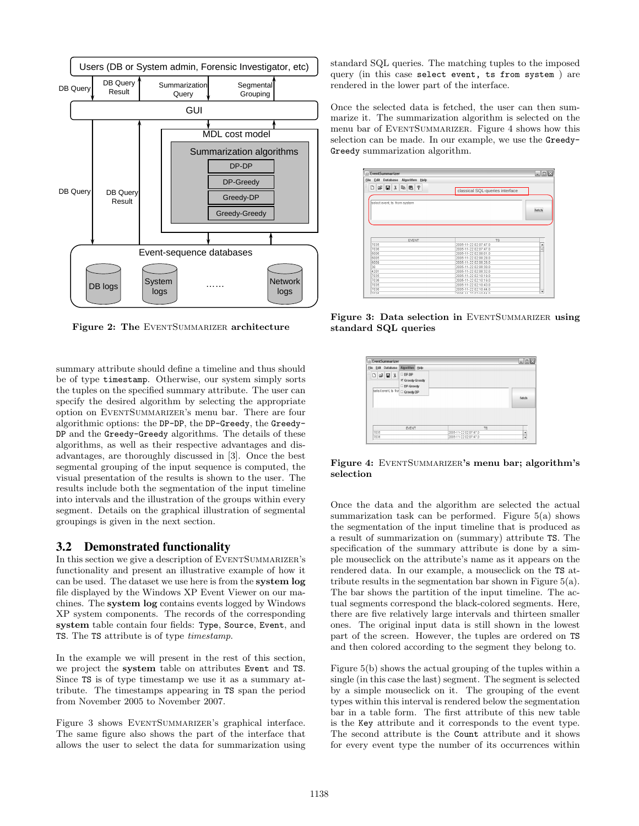

Figure 2: The EVENTSUMMARIZER architecture

summary attribute should define a timeline and thus should be of type timestamp. Otherwise, our system simply sorts the tuples on the specified summary attribute. The user can specify the desired algorithm by selecting the appropriate option on EVENTSUMMARIZER's menu bar. There are four algorithmic options: the DP-DP, the DP-Greedy, the Greedy-DP and the Greedy-Greedy algorithms. The details of these algorithms, as well as their respective advantages and disadvantages, are thoroughly discussed in [3]. Once the best segmental grouping of the input sequence is computed, the visual presentation of the results is shown to the user. The results include both the segmentation of the input timeline into intervals and the illustration of the groups within every segment. Details on the graphical illustration of segmental groupings is given in the next section.

#### 3.2 Demonstrated functionality

In this section we give a description of EVENTSUMMARIZER's functionality and present an illustrative example of how it can be used. The dataset we use here is from the system log file displayed by the Windows XP Event Viewer on our machines. The system log contains events logged by Windows XP system components. The records of the corresponding system table contain four fields: Type, Source, Event, and TS. The TS attribute is of type timestamp.

In the example we will present in the rest of this section, we project the system table on attributes Event and TS. Since TS is of type timestamp we use it as a summary attribute. The timestamps appearing in TS span the period from November 2005 to November 2007.

Figure 3 shows EVENTSUMMARIZER's graphical interface. The same figure also shows the part of the interface that allows the user to select the data for summarization using standard SQL queries. The matching tuples to the imposed query (in this case select event, ts from system ) are rendered in the lower part of the interface.

Once the selected data is fetched, the user can then summarize it. The summarization algorithm is selected on the menu bar of EVENTSUMMARIZER. Figure 4 shows how this selection can be made. In our example, we use the Greedy-Greedy summarization algorithm.

| S FventSummarizer                                                                                |                                          | $ \Box$ $\times$ |
|--------------------------------------------------------------------------------------------------|------------------------------------------|------------------|
| Edit Database<br>Algorithm Help<br>File                                                          |                                          |                  |
| $\Box \ncong \blacksquare \nparallel x \enspace \text{Pa} \enspace \text{R} \nparallel \text{R}$ | classical SQL-queries interface          |                  |
| select event, ts from system                                                                     |                                          | <b>retch</b>     |
|                                                                                                  |                                          |                  |
|                                                                                                  |                                          |                  |
| EVENT                                                                                            | <b>TS</b>                                |                  |
|                                                                                                  | 2005-11-22 02:07:47.0                    | Â                |
|                                                                                                  | 2005-11-22 02:07:47 0                    | ÷                |
|                                                                                                  | 2005-11-22 02:08:01.0                    |                  |
|                                                                                                  | 2005-11-22 02:08:28 0                    |                  |
|                                                                                                  | 2005-11-22 02:08:28.0                    |                  |
|                                                                                                  | 2005-11-22 02:08:30.0                    |                  |
|                                                                                                  | 2005-11-22 02:08:32.0                    |                  |
|                                                                                                  | 2005-11-22 02:10:19.0                    |                  |
|                                                                                                  | 2005-11-22 02:10:19.0                    |                  |
| 7035<br>7036<br>6006<br>6005<br>6009<br>30<br>4201<br>7035<br>7036<br>7035                       | 2005-11-22 02:10:43.0                    |                  |
| 7036<br>7025                                                                                     | 2005-11-22 02:10:44.0<br>300511133010510 | ٠                |

Figure 3: Data selection in EVENTSUMMARIZER using standard SQL queries

| EventSummarizer                                                               |                                               |                       | القالد               |
|-------------------------------------------------------------------------------|-----------------------------------------------|-----------------------|----------------------|
| File Edit Database                                                            | Algorithm Help                                |                       |                      |
| $\Box \ncong \blacksquare \nightharpoonup$<br>select event, ts from Greedy-DP | DP-DP<br><b>Ef</b> Greedy-Greedy<br>DP-Greedy |                       | fetch                |
|                                                                               | EVENT                                         | <b>TS</b>             |                      |
| 7035                                                                          |                                               | 2005-11-22 02:07:47.0 | $\ddot{\phantom{1}}$ |
| 7036                                                                          |                                               | 2005-11-22 02:07:47.0 | ٠                    |

Figure 4: EVENTSUMMARIZER's menu bar; algorithm's selection

Once the data and the algorithm are selected the actual summarization task can be performed. Figure 5(a) shows the segmentation of the input timeline that is produced as a result of summarization on (summary) attribute TS. The specification of the summary attribute is done by a simple mouseclick on the attribute's name as it appears on the rendered data. In our example, a mouseclick on the TS attribute results in the segmentation bar shown in Figure 5(a). The bar shows the partition of the input timeline. The actual segments correspond the black-colored segments. Here, there are five relatively large intervals and thirteen smaller ones. The original input data is still shown in the lowest part of the screen. However, the tuples are ordered on TS and then colored according to the segment they belong to.

Figure 5(b) shows the actual grouping of the tuples within a single (in this case the last) segment. The segment is selected by a simple mouseclick on it. The grouping of the event types within this interval is rendered below the segmentation bar in a table form. The first attribute of this new table is the Key attribute and it corresponds to the event type. The second attribute is the Count attribute and it shows for every event type the number of its occurrences within